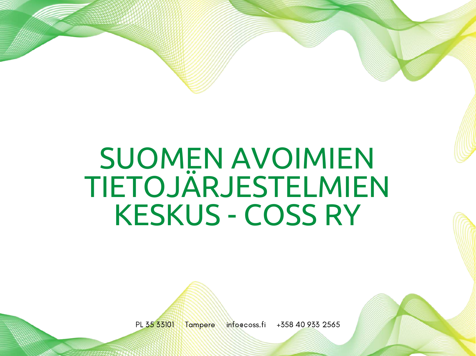# SUOMEN AVOIMIEN TIETOJÄRJESTELMIEN KESKUS - COSS RY



PL 35 33101 Tampere info@coss.fi +358 40 933 2565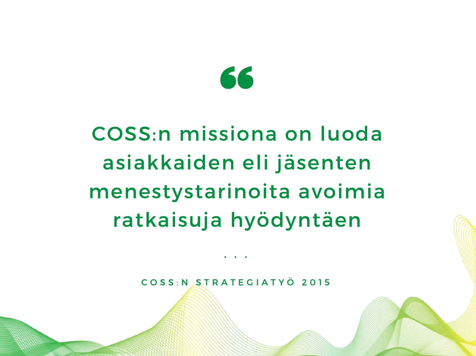

## COSS:n missiona on luoda asiakkaiden eli jäsenten menestystarinoita avoimia ratkaisuja hyödyntäen

C O S S : N S T R A T E G I A T Y Ö 2 0 1 5

• • •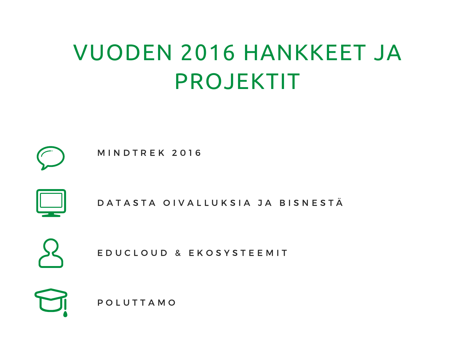## VUODEN 2016 HANKKEET JA PROJEKTIT



**MINDTREK 2016** 



D A T A S T A O I V A L L U K S I A J A B I S N E S T Ä



E D U C L O U D & E K O S Y S T E E M I T

P O L U T T A M O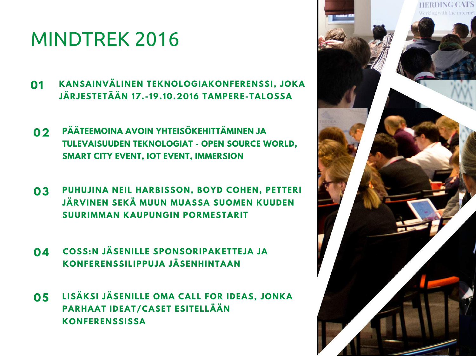### MINDTREK 2016

- **KANSAINVÄLINEN TEKNOLOGIAKONFERENSSI, JOKA JÄRJESTETÄÄN 17. - 19. 10.2016 TAMPERE-TALOSSA 01**
- **PÄÄTEEMOINA AVOIN YHTEISÖKEHITTÄMINEN JA TULEVAISUUDEN TEKNOLOGIAT - OPEN SOURCE WORLD, SMART CITY EVENT, IOT EVENT, IMMERSION 02**
- **PUHUJ INA NEIL HARBISSON, BOYD COHEN, PETTERI 03 JÄRVINEN SEKÄ MUUN MUASSA SUOMEN KUUDEN SUURIMMAN KAUPUNGIN PORMESTARIT**
- **COSS:N JÄSENILLE SPONSORIPAKETTEJA JA KONFERENSSILIPPUJA JÄSENHINTAAN 04**
- **LISÄKSI JÄSENILLE OMA CALL FOR IDEAS, JONKA PARHAAT IDEAT/CASET ESITELLÄÄN KONFERENSSISSA 05**

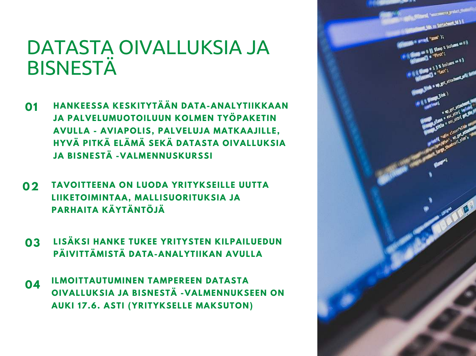#### DATASTA OIVALLUKSIA JA BISNESTÄ

- **HANKEESSA KESKITYTÄÄN DATA-ANALYTIIKKAAN JA PALVELUMUOTOILUUN KOLMEN TYÖPAKETIN AVULLA - AVIAPOLIS, PALVELUJA MATKAAJ ILLE, HYVÄ PITKÄ ELÄMÄ SEKÄ DATASTA OIVALLUKSIA JA BISNESTÄ -VALMENNUSKURSSI 01**
- **TAVOITTEENA ON LUODA YRITYKSEILLE UUTTA LIIKETOIMINTAA, MALLISUORITUKSIA JA PARHAITA KÄYTÄNTÖJÄ 02**
- **LISÄKSI HANKE TUKEE YRITYSTEN KILPAILUEDUN PÄIVITTÄMISTÄ DATA-ANALYTIIKAN AVULLA 03**
- **ILMOITTAUTUMINEN TAMPEREEN DATASTA OIVALLUKSIA JA BISNESTÄ -VALMENNUKSEEN ON AUKI 17.6. ASTI (YRITYKSELLE MAKSUTON) 04**

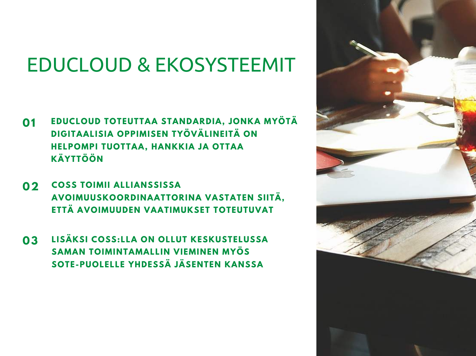### EDUCLOUD & EKOSYSTEEMIT

- **EDUCLOUD TOTEUTTAA STANDARDIA, JONKA MYÖTÄ DIGITAALISIA OPPIMISEN TYÖVÄLINEITÄ ON HELPOMPI TUOTTAA, HANKKIA JA OTTAA KÄYTTÖÖN 01**
- **COSS TOIMII ALLIANSSISSA AVOIMUUSKOORDINAATTORINA VASTATEN SIITÄ, ETTÄ AVOIMUUDEN VAATIMUKSET TOTEUTUVAT 02**
- **LISÄKSI COSS:LLA ON OLLUT KESKUSTELUSSA SAMAN TOIMINTAMALLIN VIEMINEN MYÖS SOTE-PUOLELLE YHDESSÄ JÄSENTEN KANSSA 03**

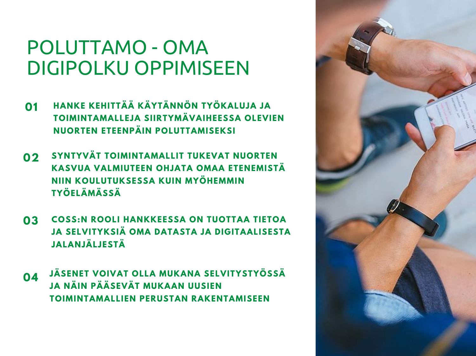#### POLUTTAMO - OMA DIGIPOLKU OPPIMISEEN

- **HANKE KEHITTÄÄ KÄYTÄNNÖN TYÖKALUJA JA TOIMINTAMALLEJA SIIRTYMÄVAIHEESSA OLEVIEN NUORTEN ETEENPÄIN POLUTTAMISEKSI 01**
- **SYNTYVÄT TOIMINTAMALLIT TUKEVAT NUORTEN KASVUA VALMIUTEEN OHJATA OMAA ETENEMISTÄ NIIN KOULUTUKSESSA KUIN MYÖHEMMIN TYÖELÄMÄSSÄ 02**
- **COSS:N ROOLI HANKKEESSA ON TUOTTAA TIETOA JA SELVITYKSIÄ OMA DATASTA JA DIGITAALISESTA JALANJÄLJESTÄ 03**
- **JÄSENET VOIVAT OLLA MUKANA SELVITYSTYÖSSÄ JA NÄIN PÄÄSEVÄT MUKAAN UUSIEN TOIMINTAMALLIEN PERUSTAN RAKENTAMISEEN 04**